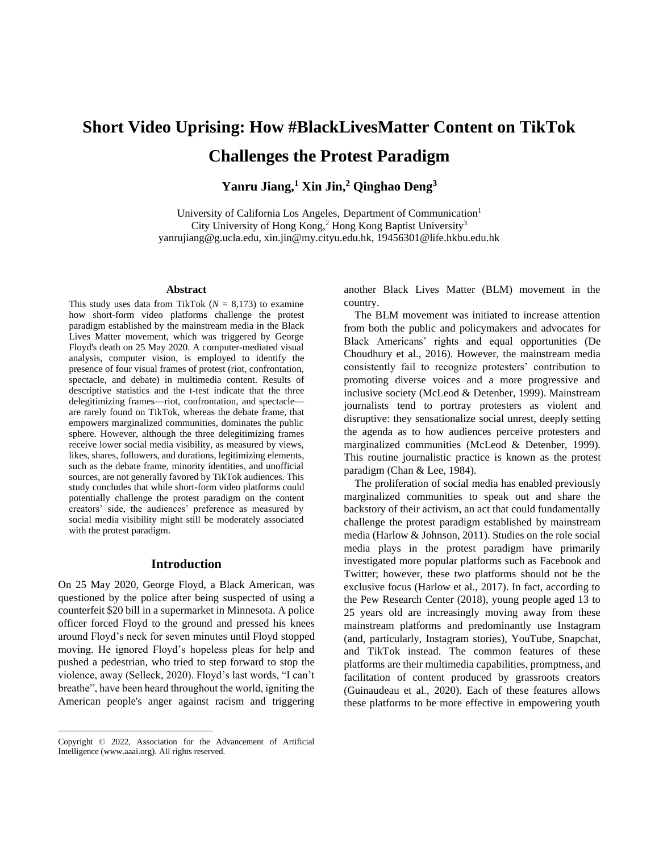# **Short Video Uprising: How #BlackLivesMatter Content on TikTok Challenges the Protest Paradigm**

**Yanru Jiang,<sup>1</sup> Xin Jin,<sup>2</sup> Qinghao Deng<sup>3</sup>**

University of California Los Angeles, Department of Communication<sup>1</sup> City University of Hong Kong,<sup>2</sup> Hong Kong Baptist University<sup>3</sup> yanrujiang@g.ucla.edu, xin.jin@my.cityu.edu.hk, 19456301@life.hkbu.edu.hk

#### **Abstract**

This study uses data from TikTok  $(N = 8.173)$  to examine how short-form video platforms challenge the protest paradigm established by the mainstream media in the Black Lives Matter movement, which was triggered by George Floyd's death on 25 May 2020. A computer-mediated visual analysis, computer vision, is employed to identify the presence of four visual frames of protest (riot, confrontation, spectacle, and debate) in multimedia content. Results of descriptive statistics and the t-test indicate that the three delegitimizing frames—riot, confrontation, and spectacle are rarely found on TikTok, whereas the debate frame, that empowers marginalized communities, dominates the public sphere. However, although the three delegitimizing frames receive lower social media visibility, as measured by views, likes, shares, followers, and durations, legitimizing elements, such as the debate frame, minority identities, and unofficial sources, are not generally favored by TikTok audiences. This study concludes that while short-form video platforms could potentially challenge the protest paradigm on the content creators' side, the audiences' preference as measured by social media visibility might still be moderately associated with the protest paradigm.

## **Introduction**

On 25 May 2020, George Floyd, a Black American, was questioned by the police after being suspected of using a counterfeit \$20 bill in a supermarket in Minnesota. A police officer forced Floyd to the ground and pressed his knees around Floyd's neck for seven minutes until Floyd stopped moving. He ignored Floyd's hopeless pleas for help and pushed a pedestrian, who tried to step forward to stop the violence, away (Selleck, 2020). Floyd's last words, "I can't breathe", have been heard throughout the world, igniting the American people's anger against racism and triggering

Copyright © 2022, Association for the Advancement of Artificial Intelligence (www.aaai.org). All rights reserved.

another Black Lives Matter (BLM) movement in the country.

The BLM movement was initiated to increase attention from both the public and policymakers and advocates for Black Americans' rights and equal opportunities (De Choudhury et al., 2016). However, the mainstream media consistently fail to recognize protesters' contribution to promoting diverse voices and a more progressive and inclusive society (McLeod & Detenber, 1999). Mainstream journalists tend to portray protesters as violent and disruptive: they sensationalize social unrest, deeply setting the agenda as to how audiences perceive protesters and marginalized communities (McLeod & Detenber, 1999). This routine journalistic practice is known as the protest paradigm (Chan & Lee, 1984).

The proliferation of social media has enabled previously marginalized communities to speak out and share the backstory of their activism, an act that could fundamentally challenge the protest paradigm established by mainstream media (Harlow & Johnson, 2011). Studies on the role social media plays in the protest paradigm have primarily investigated more popular platforms such as Facebook and Twitter; however, these two platforms should not be the exclusive focus (Harlow et al., 2017). In fact, according to the Pew Research Center (2018), young people aged 13 to 25 years old are increasingly moving away from these mainstream platforms and predominantly use Instagram (and, particularly, Instagram stories), YouTube, Snapchat, and TikTok instead. The common features of these platforms are their multimedia capabilities, promptness, and facilitation of content produced by grassroots creators (Guinaudeau et al., 2020). Each of these features allows these platforms to be more effective in empowering youth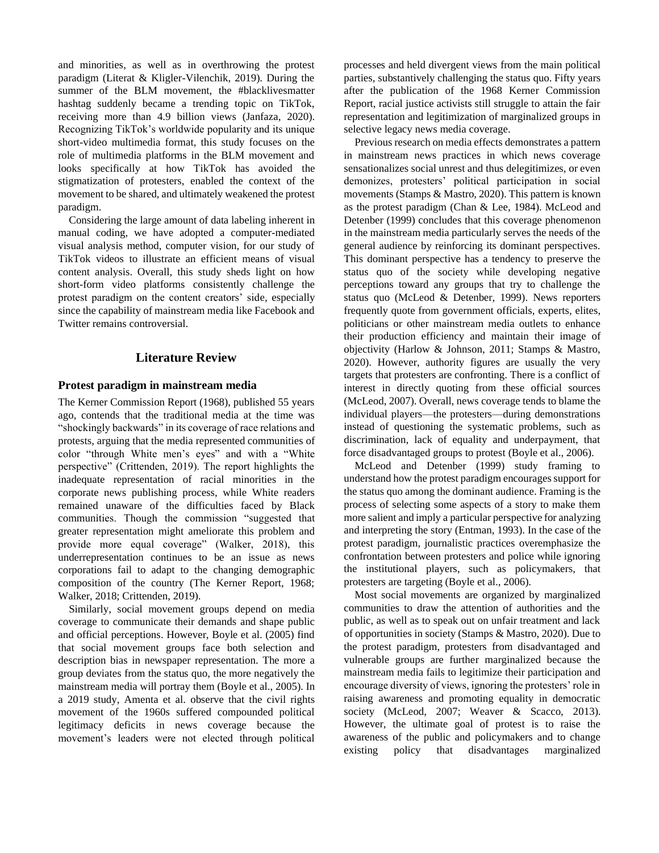and minorities, as well as in overthrowing the protest paradigm (Literat & Kligler-Vilenchik, 2019). During the summer of the BLM movement, the #blacklivesmatter hashtag suddenly became a trending topic on TikTok, receiving more than 4.9 billion views (Janfaza, 2020). Recognizing TikTok's worldwide popularity and its unique short-video multimedia format, this study focuses on the role of multimedia platforms in the BLM movement and looks specifically at how TikTok has avoided the stigmatization of protesters, enabled the context of the movement to be shared, and ultimately weakened the protest paradigm.

Considering the large amount of data labeling inherent in manual coding, we have adopted a computer-mediated visual analysis method, computer vision, for our study of TikTok videos to illustrate an efficient means of visual content analysis. Overall, this study sheds light on how short-form video platforms consistently challenge the protest paradigm on the content creators' side, especially since the capability of mainstream media like Facebook and Twitter remains controversial.

# **Literature Review**

# **Protest paradigm in mainstream media**

The Kerner Commission Report (1968), published 55 years ago, contends that the traditional media at the time was "shockingly backwards" in its coverage of race relations and protests, arguing that the media represented communities of color "through White men's eyes" and with a "White perspective" (Crittenden, 2019). The report highlights the inadequate representation of racial minorities in the corporate news publishing process, while White readers remained unaware of the difficulties faced by Black communities. Though the commission "suggested that greater representation might ameliorate this problem and provide more equal coverage" (Walker, 2018), this underrepresentation continues to be an issue as news corporations fail to adapt to the changing demographic composition of the country (The Kerner Report, 1968; Walker, 2018; Crittenden, 2019).

Similarly, social movement groups depend on media coverage to communicate their demands and shape public and official perceptions. However, Boyle et al. (2005) find that social movement groups face both selection and description bias in newspaper representation. The more a group deviates from the status quo, the more negatively the mainstream media will portray them (Boyle et al., 2005). In a 2019 study, Amenta et al. observe that the civil rights movement of the 1960s suffered compounded political legitimacy deficits in news coverage because the movement's leaders were not elected through political processes and held divergent views from the main political parties, substantively challenging the status quo. Fifty years after the publication of the 1968 Kerner Commission Report, racial justice activists still struggle to attain the fair representation and legitimization of marginalized groups in selective legacy news media coverage.

Previous research on media effects demonstrates a pattern in mainstream news practices in which news coverage sensationalizes social unrest and thus delegitimizes, or even demonizes, protesters' political participation in social movements (Stamps & Mastro, 2020). This pattern is known as the protest paradigm (Chan & Lee, 1984). McLeod and Detenber (1999) concludes that this coverage phenomenon in the mainstream media particularly serves the needs of the general audience by reinforcing its dominant perspectives. This dominant perspective has a tendency to preserve the status quo of the society while developing negative perceptions toward any groups that try to challenge the status quo (McLeod & Detenber, 1999). News reporters frequently quote from government officials, experts, elites, politicians or other mainstream media outlets to enhance their production efficiency and maintain their image of objectivity (Harlow & Johnson, 2011; Stamps & Mastro, 2020). However, authority figures are usually the very targets that protesters are confronting. There is a conflict of interest in directly quoting from these official sources (McLeod, 2007). Overall, news coverage tends to blame the individual players—the protesters—during demonstrations instead of questioning the systematic problems, such as discrimination, lack of equality and underpayment, that force disadvantaged groups to protest (Boyle et al., 2006).

McLeod and Detenber (1999) study framing to understand how the protest paradigm encourages support for the status quo among the dominant audience. Framing is the process of selecting some aspects of a story to make them more salient and imply a particular perspective for analyzing and interpreting the story (Entman, 1993). In the case of the protest paradigm, journalistic practices overemphasize the confrontation between protesters and police while ignoring the institutional players, such as policymakers, that protesters are targeting (Boyle et al., 2006).

Most social movements are organized by marginalized communities to draw the attention of authorities and the public, as well as to speak out on unfair treatment and lack of opportunities in society (Stamps & Mastro, 2020). Due to the protest paradigm, protesters from disadvantaged and vulnerable groups are further marginalized because the mainstream media fails to legitimize their participation and encourage diversity of views, ignoring the protesters' role in raising awareness and promoting equality in democratic society (McLeod, 2007; Weaver & Scacco, 2013). However, the ultimate goal of protest is to raise the awareness of the public and policymakers and to change existing policy that disadvantages marginalized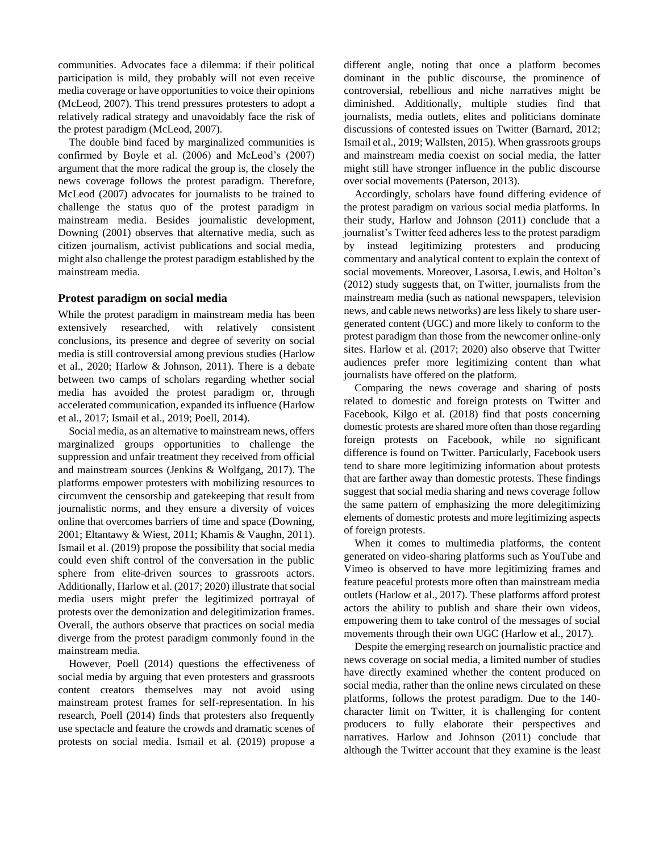communities. Advocates face a dilemma: if their political participation is mild, they probably will not even receive media coverage or have opportunities to voice their opinions (McLeod, 2007). This trend pressures protesters to adopt a relatively radical strategy and unavoidably face the risk of the protest paradigm (McLeod, 2007).

The double bind faced by marginalized communities is confirmed by Boyle et al. (2006) and McLeod's (2007) argument that the more radical the group is, the closely the news coverage follows the protest paradigm. Therefore, McLeod (2007) advocates for journalists to be trained to challenge the status quo of the protest paradigm in mainstream media. Besides journalistic development, Downing (2001) observes that alternative media, such as citizen journalism, activist publications and social media, might also challenge the protest paradigm established by the mainstream media.

#### **Protest paradigm on social media**

While the protest paradigm in mainstream media has been extensively researched, with relatively consistent conclusions, its presence and degree of severity on social media is still controversial among previous studies (Harlow et al., 2020; Harlow & Johnson, 2011). There is a debate between two camps of scholars regarding whether social media has avoided the protest paradigm or, through accelerated communication, expanded its influence (Harlow et al., 2017; Ismail et al., 2019; Poell, 2014).

Social media, as an alternative to mainstream news, offers marginalized groups opportunities to challenge the suppression and unfair treatment they received from official and mainstream sources (Jenkins & Wolfgang, 2017). The platforms empower protesters with mobilizing resources to circumvent the censorship and gatekeeping that result from journalistic norms, and they ensure a diversity of voices online that overcomes barriers of time and space (Downing, 2001; Eltantawy & Wiest, 2011; Khamis & Vaughn, 2011). Ismail et al. (2019) propose the possibility that social media could even shift control of the conversation in the public sphere from elite-driven sources to grassroots actors. Additionally, Harlow et al. (2017; 2020) illustrate that social media users might prefer the legitimized portrayal of protests over the demonization and delegitimization frames. Overall, the authors observe that practices on social media diverge from the protest paradigm commonly found in the mainstream media.

However, Poell (2014) questions the effectiveness of social media by arguing that even protesters and grassroots content creators themselves may not avoid using mainstream protest frames for self-representation. In his research, Poell (2014) finds that protesters also frequently use spectacle and feature the crowds and dramatic scenes of protests on social media. Ismail et al. (2019) propose a

different angle, noting that once a platform becomes dominant in the public discourse, the prominence of controversial, rebellious and niche narratives might be diminished. Additionally, multiple studies find that journalists, media outlets, elites and politicians dominate discussions of contested issues on Twitter (Barnard, 2012; Ismail et al., 2019; Wallsten, 2015). When grassroots groups and mainstream media coexist on social media, the latter might still have stronger influence in the public discourse over social movements (Paterson, 2013).

Accordingly, scholars have found differing evidence of the protest paradigm on various social media platforms. In their study, Harlow and Johnson (2011) conclude that a journalist's Twitter feed adheres less to the protest paradigm by instead legitimizing protesters and producing commentary and analytical content to explain the context of social movements. Moreover, Lasorsa, Lewis, and Holton's (2012) study suggests that, on Twitter, journalists from the mainstream media (such as national newspapers, television news, and cable news networks) are less likely to share usergenerated content (UGC) and more likely to conform to the protest paradigm than those from the newcomer online-only sites. Harlow et al. (2017; 2020) also observe that Twitter audiences prefer more legitimizing content than what journalists have offered on the platform.

Comparing the news coverage and sharing of posts related to domestic and foreign protests on Twitter and Facebook, Kilgo et al. (2018) find that posts concerning domestic protests are shared more often than those regarding foreign protests on Facebook, while no significant difference is found on Twitter. Particularly, Facebook users tend to share more legitimizing information about protests that are farther away than domestic protests. These findings suggest that social media sharing and news coverage follow the same pattern of emphasizing the more delegitimizing elements of domestic protests and more legitimizing aspects of foreign protests.

When it comes to multimedia platforms, the content generated on video-sharing platforms such as YouTube and Vimeo is observed to have more legitimizing frames and feature peaceful protests more often than mainstream media outlets (Harlow et al., 2017). These platforms afford protest actors the ability to publish and share their own videos, empowering them to take control of the messages of social movements through their own UGC (Harlow et al., 2017).

Despite the emerging research on journalistic practice and news coverage on social media, a limited number of studies have directly examined whether the content produced on social media, rather than the online news circulated on these platforms, follows the protest paradigm. Due to the 140 character limit on Twitter, it is challenging for content producers to fully elaborate their perspectives and narratives. Harlow and Johnson (2011) conclude that although the Twitter account that they examine is the least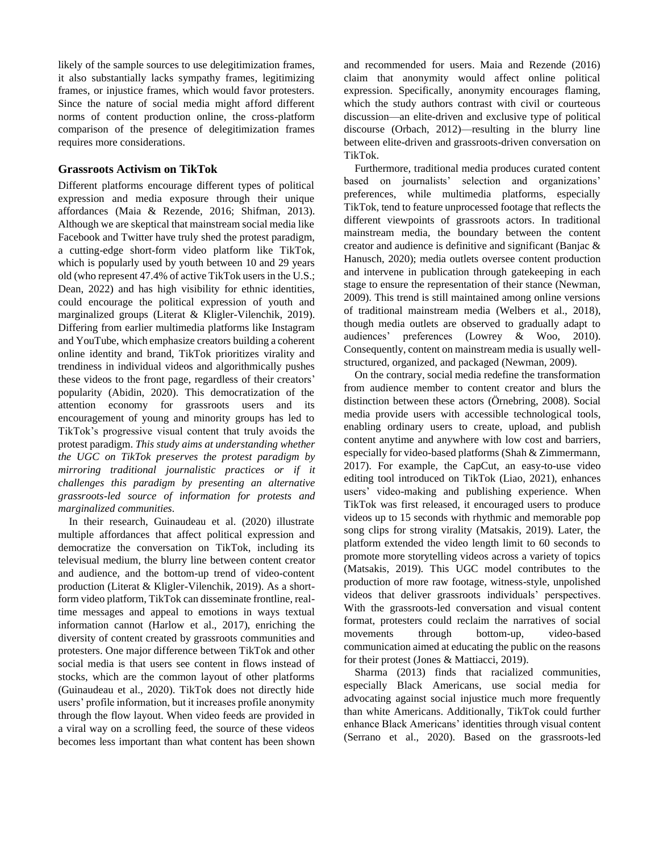likely of the sample sources to use delegitimization frames, it also substantially lacks sympathy frames, legitimizing frames, or injustice frames, which would favor protesters. Since the nature of social media might afford different norms of content production online, the cross-platform comparison of the presence of delegitimization frames requires more considerations.

# **Grassroots Activism on TikTok**

Different platforms encourage different types of political expression and media exposure through their unique affordances (Maia & Rezende, 2016; Shifman, 2013). Although we are skeptical that mainstream social media like Facebook and Twitter have truly shed the protest paradigm, a cutting-edge short-form video platform like TikTok, which is popularly used by youth between 10 and 29 years old (who represent 47.4% of active TikTok users in the U.S.; Dean, 2022) and has high visibility for ethnic identities, could encourage the political expression of youth and marginalized groups (Literat & Kligler-Vilenchik, 2019). Differing from earlier multimedia platforms like Instagram and YouTube, which emphasize creators building a coherent online identity and brand, TikTok prioritizes virality and trendiness in individual videos and algorithmically pushes these videos to the front page, regardless of their creators' popularity (Abidin, 2020). This democratization of the attention economy for grassroots users and its encouragement of young and minority groups has led to TikTok's progressive visual content that truly avoids the protest paradigm. *This study aims at understanding whether the UGC on TikTok preserves the protest paradigm by mirroring traditional journalistic practices or if it challenges this paradigm by presenting an alternative grassroots-led source of information for protests and marginalized communities.* 

In their research, Guinaudeau et al. (2020) illustrate multiple affordances that affect political expression and democratize the conversation on TikTok, including its televisual medium, the blurry line between content creator and audience, and the bottom-up trend of video-content production (Literat & Kligler-Vilenchik, 2019). As a shortform video platform, TikTok can disseminate frontline, realtime messages and appeal to emotions in ways textual information cannot (Harlow et al., 2017), enriching the diversity of content created by grassroots communities and protesters. One major difference between TikTok and other social media is that users see content in flows instead of stocks, which are the common layout of other platforms (Guinaudeau et al., 2020). TikTok does not directly hide users' profile information, but it increases profile anonymity through the flow layout. When video feeds are provided in a viral way on a scrolling feed, the source of these videos becomes less important than what content has been shown

and recommended for users. Maia and Rezende (2016) claim that anonymity would affect online political expression. Specifically, anonymity encourages flaming, which the study authors contrast with civil or courteous discussion—an elite-driven and exclusive type of political discourse (Orbach, 2012)—resulting in the blurry line between elite-driven and grassroots-driven conversation on TikTok.

Furthermore, traditional media produces curated content based on journalists' selection and organizations' preferences, while multimedia platforms, especially TikTok, tend to feature unprocessed footage that reflects the different viewpoints of grassroots actors. In traditional mainstream media, the boundary between the content creator and audience is definitive and significant (Banjac & Hanusch, 2020); media outlets oversee content production and intervene in publication through gatekeeping in each stage to ensure the representation of their stance (Newman, 2009). This trend is still maintained among online versions of traditional mainstream media (Welbers et al., 2018), though media outlets are observed to gradually adapt to audiences' preferences (Lowrey & Woo, 2010). Consequently, content on mainstream media is usually wellstructured, organized, and packaged (Newman, 2009).

On the contrary, social media redefine the transformation from audience member to content creator and blurs the distinction between these actors (Örnebring, 2008). Social media provide users with accessible technological tools, enabling ordinary users to create, upload, and publish content anytime and anywhere with low cost and barriers, especially for video-based platforms (Shah & Zimmermann, 2017). For example, the CapCut, an easy-to-use video editing tool introduced on TikTok (Liao, 2021), enhances users' video-making and publishing experience. When TikTok was first released, it encouraged users to produce videos up to 15 seconds with rhythmic and memorable pop song clips for strong virality (Matsakis, 2019). Later, the platform extended the video length limit to 60 seconds to promote more storytelling videos across a variety of topics (Matsakis, 2019). This UGC model contributes to the production of more raw footage, witness-style, unpolished videos that deliver grassroots individuals' perspectives. With the grassroots-led conversation and visual content format, protesters could reclaim the narratives of social movements through bottom-up, video-based communication aimed at educating the public on the reasons for their protest (Jones & Mattiacci, 2019).

Sharma (2013) finds that racialized communities, especially Black Americans, use social media for advocating against social injustice much more frequently than white Americans. Additionally, TikTok could further enhance Black Americans' identities through visual content (Serrano et al., 2020). Based on the grassroots-led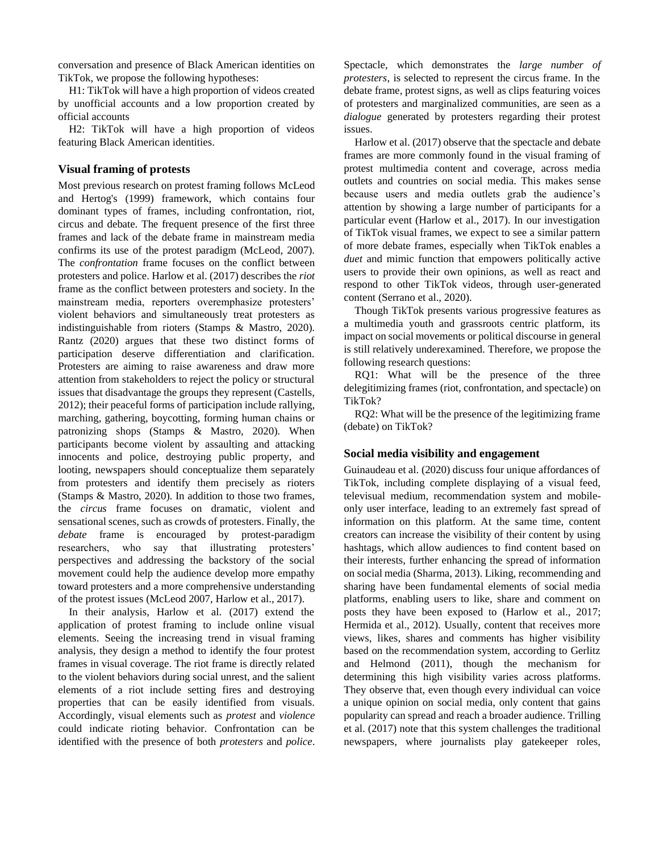conversation and presence of Black American identities on TikTok, we propose the following hypotheses:

H1: TikTok will have a high proportion of videos created by unofficial accounts and a low proportion created by official accounts

H2: TikTok will have a high proportion of videos featuring Black American identities.

# **Visual framing of protests**

Most previous research on protest framing follows McLeod and Hertog's (1999) framework, which contains four dominant types of frames, including confrontation, riot, circus and debate. The frequent presence of the first three frames and lack of the debate frame in mainstream media confirms its use of the protest paradigm (McLeod, 2007). The *confrontation* frame focuses on the conflict between protesters and police. Harlow et al. (2017) describes the *riot* frame as the conflict between protesters and society. In the mainstream media, reporters overemphasize protesters' violent behaviors and simultaneously treat protesters as indistinguishable from rioters (Stamps & Mastro, 2020). Rantz (2020) argues that these two distinct forms of participation deserve differentiation and clarification. Protesters are aiming to raise awareness and draw more attention from stakeholders to reject the policy or structural issues that disadvantage the groups they represent (Castells, 2012); their peaceful forms of participation include rallying, marching, gathering, boycotting, forming human chains or patronizing shops (Stamps & Mastro, 2020). When participants become violent by assaulting and attacking innocents and police, destroying public property, and looting, newspapers should conceptualize them separately from protesters and identify them precisely as rioters (Stamps & Mastro, 2020). In addition to those two frames, the *circus* frame focuses on dramatic, violent and sensational scenes, such as crowds of protesters. Finally, the *debate* frame is encouraged by protest-paradigm researchers, who say that illustrating protesters' perspectives and addressing the backstory of the social movement could help the audience develop more empathy toward protesters and a more comprehensive understanding of the protest issues (McLeod 2007, Harlow et al., 2017).

In their analysis, Harlow et al. (2017) extend the application of protest framing to include online visual elements. Seeing the increasing trend in visual framing analysis, they design a method to identify the four protest frames in visual coverage. The riot frame is directly related to the violent behaviors during social unrest, and the salient elements of a riot include setting fires and destroying properties that can be easily identified from visuals. Accordingly, visual elements such as *protest* and *violence* could indicate rioting behavior. Confrontation can be identified with the presence of both *protesters* and *police*. Spectacle, which demonstrates the *large number of protesters*, is selected to represent the circus frame. In the debate frame, protest signs, as well as clips featuring voices of protesters and marginalized communities, are seen as a *dialogue* generated by protesters regarding their protest issues.

Harlow et al. (2017) observe that the spectacle and debate frames are more commonly found in the visual framing of protest multimedia content and coverage, across media outlets and countries on social media. This makes sense because users and media outlets grab the audience's attention by showing a large number of participants for a particular event (Harlow et al., 2017). In our investigation of TikTok visual frames, we expect to see a similar pattern of more debate frames, especially when TikTok enables a *duet* and mimic function that empowers politically active users to provide their own opinions, as well as react and respond to other TikTok videos, through user-generated content (Serrano et al., 2020).

Though TikTok presents various progressive features as a multimedia youth and grassroots centric platform, its impact on social movements or political discourse in general is still relatively underexamined. Therefore, we propose the following research questions:

RQ1: What will be the presence of the three delegitimizing frames (riot, confrontation, and spectacle) on TikTok?

RQ2: What will be the presence of the legitimizing frame (debate) on TikTok?

# **Social media visibility and engagement**

Guinaudeau et al. (2020) discuss four unique affordances of TikTok, including complete displaying of a visual feed, televisual medium, recommendation system and mobileonly user interface, leading to an extremely fast spread of information on this platform. At the same time, content creators can increase the visibility of their content by using hashtags, which allow audiences to find content based on their interests, further enhancing the spread of information on social media (Sharma, 2013). Liking, recommending and sharing have been fundamental elements of social media platforms, enabling users to like, share and comment on posts they have been exposed to (Harlow et al., 2017; Hermida et al., 2012). Usually, content that receives more views, likes, shares and comments has higher visibility based on the recommendation system, according to Gerlitz and Helmond (2011), though the mechanism for determining this high visibility varies across platforms. They observe that, even though every individual can voice a unique opinion on social media, only content that gains popularity can spread and reach a broader audience. Trilling et al. (2017) note that this system challenges the traditional newspapers, where journalists play gatekeeper roles,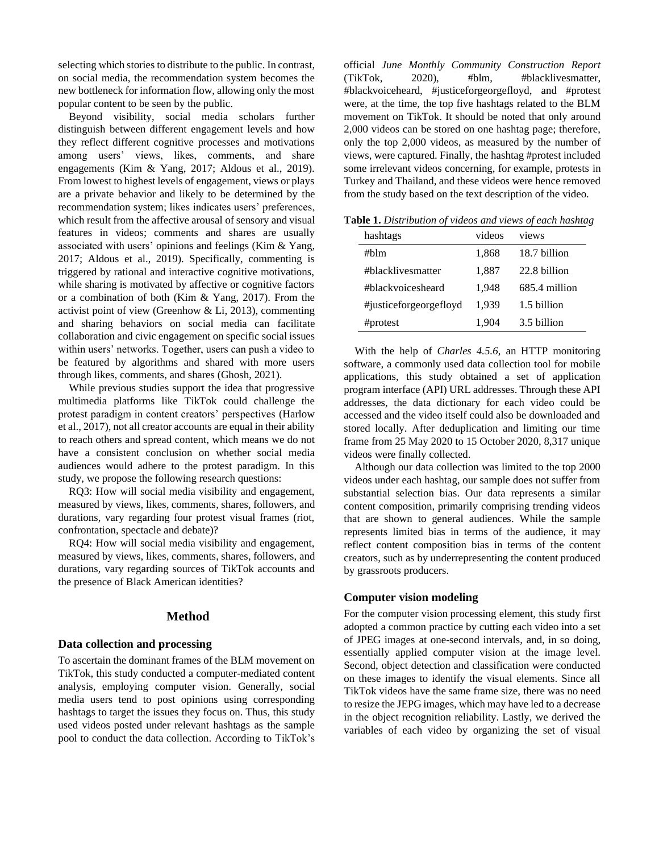selecting which stories to distribute to the public. In contrast, on social media, the recommendation system becomes the new bottleneck for information flow, allowing only the most popular content to be seen by the public.

Beyond visibility, social media scholars further distinguish between different engagement levels and how they reflect different cognitive processes and motivations among users' views, likes, comments, and share engagements (Kim & Yang, 2017; Aldous et al., 2019). From lowest to highest levels of engagement, views or plays are a private behavior and likely to be determined by the recommendation system; likes indicates users' preferences, which result from the affective arousal of sensory and visual features in videos; comments and shares are usually associated with users' opinions and feelings (Kim & Yang, 2017; Aldous et al., 2019). Specifically, commenting is triggered by rational and interactive cognitive motivations, while sharing is motivated by affective or cognitive factors or a combination of both (Kim & Yang, 2017). From the activist point of view (Greenhow & Li, 2013), commenting and sharing behaviors on social media can facilitate collaboration and civic engagement on specific social issues within users' networks. Together, users can push a video to be featured by algorithms and shared with more users through likes, comments, and shares (Ghosh, 2021).

While previous studies support the idea that progressive multimedia platforms like TikTok could challenge the protest paradigm in content creators' perspectives (Harlow et al., 2017), not all creator accounts are equal in their ability to reach others and spread content, which means we do not have a consistent conclusion on whether social media audiences would adhere to the protest paradigm. In this study, we propose the following research questions:

RQ3: How will social media visibility and engagement, measured by views, likes, comments, shares, followers, and durations, vary regarding four protest visual frames (riot, confrontation, spectacle and debate)?

RQ4: How will social media visibility and engagement, measured by views, likes, comments, shares, followers, and durations, vary regarding sources of TikTok accounts and the presence of Black American identities?

# **Method**

#### **Data collection and processing**

To ascertain the dominant frames of the BLM movement on TikTok, this study conducted a computer-mediated content analysis, employing computer vision. Generally, social media users tend to post opinions using corresponding hashtags to target the issues they focus on. Thus, this study used videos posted under relevant hashtags as the sample pool to conduct the data collection. According to TikTok's

official *June Monthly Community Construction Report* (TikTok, 2020), #blm, #blacklivesmatter, #blackvoiceheard, #justiceforgeorgefloyd, and #protest were, at the time, the top five hashtags related to the BLM movement on TikTok. It should be noted that only around 2,000 videos can be stored on one hashtag page; therefore, only the top 2,000 videos, as measured by the number of views, were captured. Finally, the hashtag #protest included some irrelevant videos concerning, for example, protests in Turkey and Thailand, and these videos were hence removed from the study based on the text description of the video.

|  |  |  | Table 1. Distribution of videos and views of each hashtag |  |  |  |  |
|--|--|--|-----------------------------------------------------------|--|--|--|--|
|--|--|--|-----------------------------------------------------------|--|--|--|--|

| hashtags               | videos | views         |
|------------------------|--------|---------------|
| #blm                   | 1,868  | 18.7 billion  |
| #blacklivesmatter      | 1,887  | 22.8 billion  |
| #blackyoicesheard      | 1.948  | 685.4 million |
| #justiceforgeorgefloyd | 1.939  | 1.5 billion   |
| #protest               | 1.904  | 3.5 billion   |

With the help of *Charles 4.5.6*, an HTTP monitoring software, a commonly used data collection tool for mobile applications, this study obtained a set of application program interface (API) URL addresses. Through these API addresses, the data dictionary for each video could be accessed and the video itself could also be downloaded and stored locally. After deduplication and limiting our time frame from 25 May 2020 to 15 October 2020, 8,317 unique videos were finally collected.

Although our data collection was limited to the top 2000 videos under each hashtag, our sample does not suffer from substantial selection bias. Our data represents a similar content composition, primarily comprising trending videos that are shown to general audiences. While the sample represents limited bias in terms of the audience, it may reflect content composition bias in terms of the content creators, such as by underrepresenting the content produced by grassroots producers.

#### **Computer vision modeling**

For the computer vision processing element, this study first adopted a common practice by cutting each video into a set of JPEG images at one-second intervals, and, in so doing, essentially applied computer vision at the image level. Second, object detection and classification were conducted on these images to identify the visual elements. Since all TikTok videos have the same frame size, there was no need to resize the JEPG images, which may have led to a decrease in the object recognition reliability. Lastly, we derived the variables of each video by organizing the set of visual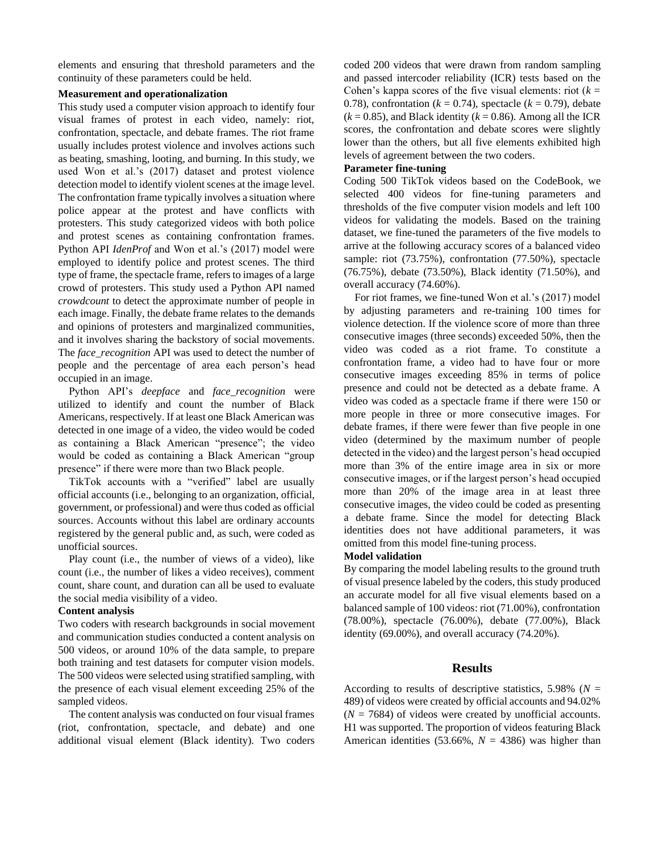elements and ensuring that threshold parameters and the continuity of these parameters could be held.

# **Measurement and operationalization**

This study used a computer vision approach to identify four visual frames of protest in each video, namely: riot, confrontation, spectacle, and debate frames. The riot frame usually includes protest violence and involves actions such as beating, smashing, looting, and burning. In this study, we used Won et al.'s (2017) dataset and protest violence detection model to identify violent scenes at the image level. The confrontation frame typically involves a situation where police appear at the protest and have conflicts with protesters. This study categorized videos with both police and protest scenes as containing confrontation frames. Python API *IdenProf* and Won et al.'s (2017) model were employed to identify police and protest scenes. The third type of frame, the spectacle frame, refers to images of a large crowd of protesters. This study used a Python API named *crowdcount* to detect the approximate number of people in each image. Finally, the debate frame relates to the demands and opinions of protesters and marginalized communities, and it involves sharing the backstory of social movements. The *face\_recognition* API was used to detect the number of people and the percentage of area each person's head occupied in an image.

Python API's *deepface* and *face\_recognition* were utilized to identify and count the number of Black Americans, respectively. If at least one Black American was detected in one image of a video, the video would be coded as containing a Black American "presence"; the video would be coded as containing a Black American "group presence" if there were more than two Black people.

TikTok accounts with a "verified" label are usually official accounts (i.e., belonging to an organization, official, government, or professional) and were thus coded as official sources. Accounts without this label are ordinary accounts registered by the general public and, as such, were coded as unofficial sources.

Play count (i.e., the number of views of a video), like count (i.e., the number of likes a video receives), comment count, share count, and duration can all be used to evaluate the social media visibility of a video.

## **Content analysis**

Two coders with research backgrounds in social movement and communication studies conducted a content analysis on 500 videos, or around 10% of the data sample, to prepare both training and test datasets for computer vision models. The 500 videos were selected using stratified sampling, with the presence of each visual element exceeding 25% of the sampled videos.

The content analysis was conducted on four visual frames (riot, confrontation, spectacle, and debate) and one additional visual element (Black identity). Two coders coded 200 videos that were drawn from random sampling and passed intercoder reliability (ICR) tests based on the Cohen's kappa scores of the five visual elements: riot  $(k =$ 0.78), confrontation ( $k = 0.74$ ), spectacle ( $k = 0.79$ ), debate  $(k = 0.85)$ , and Black identity  $(k = 0.86)$ . Among all the ICR scores, the confrontation and debate scores were slightly lower than the others, but all five elements exhibited high levels of agreement between the two coders.

## **Parameter fine-tuning**

Coding 500 TikTok videos based on the CodeBook, we selected 400 videos for fine-tuning parameters and thresholds of the five computer vision models and left 100 videos for validating the models. Based on the training dataset, we fine-tuned the parameters of the five models to arrive at the following accuracy scores of a balanced video sample: riot (73.75%), confrontation (77.50%), spectacle (76.75%), debate (73.50%), Black identity (71.50%), and overall accuracy (74.60%).

For riot frames, we fine-tuned Won et al.'s (2017) model by adjusting parameters and re-training 100 times for violence detection. If the violence score of more than three consecutive images (three seconds) exceeded 50%, then the video was coded as a riot frame. To constitute a confrontation frame, a video had to have four or more consecutive images exceeding 85% in terms of police presence and could not be detected as a debate frame. A video was coded as a spectacle frame if there were 150 or more people in three or more consecutive images. For debate frames, if there were fewer than five people in one video (determined by the maximum number of people detected in the video) and the largest person's head occupied more than 3% of the entire image area in six or more consecutive images, or if the largest person's head occupied more than 20% of the image area in at least three consecutive images, the video could be coded as presenting a debate frame. Since the model for detecting Black identities does not have additional parameters, it was omitted from this model fine-tuning process.

## **Model validation**

By comparing the model labeling results to the ground truth of visual presence labeled by the coders, this study produced an accurate model for all five visual elements based on a balanced sample of 100 videos: riot (71.00%), confrontation (78.00%), spectacle (76.00%), debate (77.00%), Black identity (69.00%), and overall accuracy (74.20%).

# **Results**

According to results of descriptive statistics,  $5.98\%$  ( $N =$ 489) of videos were created by official accounts and 94.02%  $(N = 7684)$  of videos were created by unofficial accounts. H1 was supported. The proportion of videos featuring Black American identities (53.66%,  $N = 4386$ ) was higher than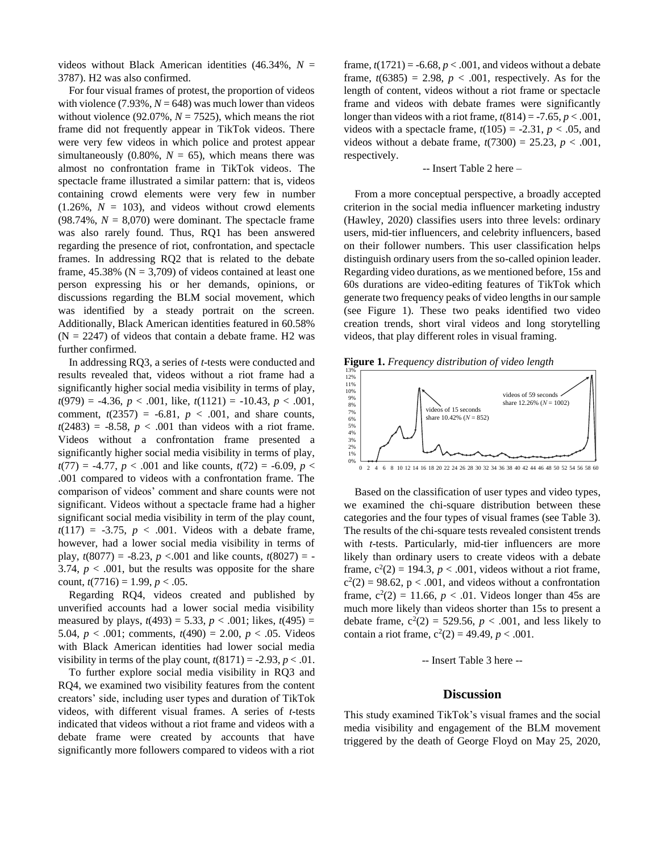videos without Black American identities  $(46.34\%, N =$ 3787). H2 was also confirmed.

For four visual frames of protest, the proportion of videos with violence  $(7.93\%, N = 648)$  was much lower than videos without violence  $(92.07\%, N = 7525)$ , which means the riot frame did not frequently appear in TikTok videos. There were very few videos in which police and protest appear simultaneously  $(0.80\%, N = 65)$ , which means there was almost no confrontation frame in TikTok videos. The spectacle frame illustrated a similar pattern: that is, videos containing crowd elements were very few in number  $(1.26\%, N = 103)$ , and videos without crowd elements  $(98.74\%, N = 8,070)$  were dominant. The spectacle frame was also rarely found. Thus, RQ1 has been answered regarding the presence of riot, confrontation, and spectacle frames. In addressing RQ2 that is related to the debate frame,  $45.38\%$  (N = 3,709) of videos contained at least one person expressing his or her demands, opinions, or discussions regarding the BLM social movement, which was identified by a steady portrait on the screen. Additionally, Black American identities featured in 60.58%  $(N = 2247)$  of videos that contain a debate frame. H2 was further confirmed.

In addressing RQ3, a series of *t*-tests were conducted and results revealed that, videos without a riot frame had a significantly higher social media visibility in terms of play, *t*(979) = -4.36, *p* < .001, like, *t*(1121) = -10.43, *p* < .001, comment,  $t(2357) = -6.81$ ,  $p < .001$ , and share counts,  $t(2483) = -8.58$ ,  $p < .001$  than videos with a riot frame. Videos without a confrontation frame presented a significantly higher social media visibility in terms of play,  $t(77) = -4.77$ ,  $p < .001$  and like counts,  $t(72) = -6.09$ ,  $p <$ .001 compared to videos with a confrontation frame. The comparison of videos' comment and share counts were not significant. Videos without a spectacle frame had a higher significant social media visibility in term of the play count,  $t(117) = -3.75$ ,  $p < .001$ . Videos with a debate frame, however, had a lower social media visibility in terms of play,  $t(8077) = -8.23$ ,  $p < .001$  and like counts,  $t(8027) = -$ 3.74,  $p < .001$ , but the results was opposite for the share count,  $t(7716) = 1.99$ ,  $p < .05$ .

Regarding RQ4, videos created and published by unverified accounts had a lower social media visibility measured by plays,  $t(493) = 5.33$ ,  $p < .001$ ; likes,  $t(495) =$ 5.04,  $p < .001$ ; comments,  $t(490) = 2.00$ ,  $p < .05$ . Videos with Black American identities had lower social media visibility in terms of the play count,  $t(8171) = -2.93$ ,  $p < .01$ .

To further explore social media visibility in RQ3 and RQ4, we examined two visibility features from the content creators' side, including user types and duration of TikTok videos, with different visual frames. A series of *t*-tests indicated that videos without a riot frame and videos with a debate frame were created by accounts that have significantly more followers compared to videos with a riot

frame,  $t(1721) = -6.68$ ,  $p < .001$ , and videos without a debate frame,  $t(6385) = 2.98$ ,  $p < .001$ , respectively. As for the length of content, videos without a riot frame or spectacle frame and videos with debate frames were significantly longer than videos with a riot frame,  $t(814) = -7.65$ ,  $p < .001$ , videos with a spectacle frame,  $t(105) = -2.31$ ,  $p < .05$ , and videos without a debate frame,  $t(7300) = 25.23$ ,  $p < .001$ , respectively.

#### -- Insert Table 2 here –

From a more conceptual perspective, a broadly accepted criterion in the social media influencer marketing industry (Hawley, 2020) classifies users into three levels: ordinary users, mid-tier influencers, and celebrity influencers, based on their follower numbers. This user classification helps distinguish ordinary users from the so-called opinion leader. Regarding video durations, as we mentioned before, 15s and 60s durations are video-editing features of TikTok which generate two frequency peaks of video lengths in our sample (see Figure 1). These two peaks identified two video creation trends, short viral videos and long storytelling videos, that play different roles in visual framing.

Figure 1. Frequency distribution of video length



Based on the classification of user types and video types, we examined the chi-square distribution between these categories and the four types of visual frames (see Table 3). The results of the chi-square tests revealed consistent trends with *t*-tests. Particularly, mid-tier influencers are more likely than ordinary users to create videos with a debate frame,  $c^2(2) = 194.3$ ,  $p < .001$ , videos without a riot frame,  $c<sup>2</sup>(2) = 98.62$ , p < .001, and videos without a confrontation frame,  $c^2(2) = 11.66$ ,  $p < .01$ . Videos longer than 45s are much more likely than videos shorter than 15s to present a debate frame,  $c^2(2) = 529.56$ ,  $p < .001$ , and less likely to contain a riot frame,  $c^2(2) = 49.49$ ,  $p < .001$ .

-- Insert Table 3 here --

# **Discussion**

This study examined TikTok's visual frames and the social media visibility and engagement of the BLM movement triggered by the death of George Floyd on May 25, 2020,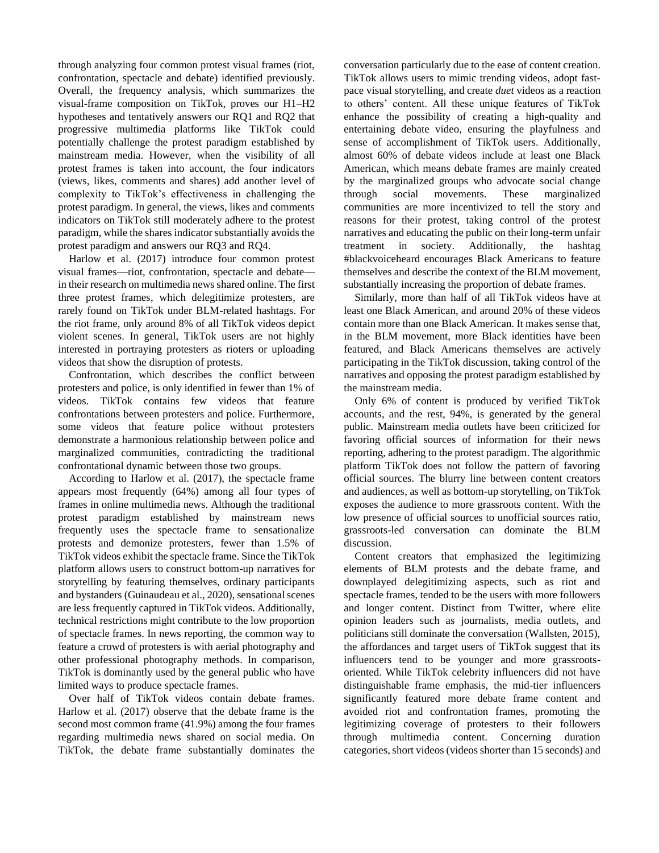through analyzing four common protest visual frames (riot, confrontation, spectacle and debate) identified previously. Overall, the frequency analysis, which summarizes the visual-frame composition on TikTok, proves our H1–H2 hypotheses and tentatively answers our RQ1 and RQ2 that progressive multimedia platforms like TikTok could potentially challenge the protest paradigm established by mainstream media. However, when the visibility of all protest frames is taken into account, the four indicators (views, likes, comments and shares) add another level of complexity to TikTok's effectiveness in challenging the protest paradigm. In general, the views, likes and comments indicators on TikTok still moderately adhere to the protest paradigm, while the shares indicator substantially avoids the protest paradigm and answers our RQ3 and RQ4.

Harlow et al. (2017) introduce four common protest visual frames—riot, confrontation, spectacle and debate in their research on multimedia news shared online. The first three protest frames, which delegitimize protesters, are rarely found on TikTok under BLM-related hashtags. For the riot frame, only around 8% of all TikTok videos depict violent scenes. In general, TikTok users are not highly interested in portraying protesters as rioters or uploading videos that show the disruption of protests.

Confrontation, which describes the conflict between protesters and police, is only identified in fewer than 1% of videos. TikTok contains few videos that feature confrontations between protesters and police. Furthermore, some videos that feature police without protesters demonstrate a harmonious relationship between police and marginalized communities, contradicting the traditional confrontational dynamic between those two groups.

According to Harlow et al. (2017), the spectacle frame appears most frequently (64%) among all four types of frames in online multimedia news. Although the traditional protest paradigm established by mainstream news frequently uses the spectacle frame to sensationalize protests and demonize protesters, fewer than 1.5% of TikTok videos exhibit the spectacle frame. Since the TikTok platform allows users to construct bottom-up narratives for storytelling by featuring themselves, ordinary participants and bystanders (Guinaudeau et al., 2020), sensational scenes are less frequently captured in TikTok videos. Additionally, technical restrictions might contribute to the low proportion of spectacle frames. In news reporting, the common way to feature a crowd of protesters is with aerial photography and other professional photography methods. In comparison, TikTok is dominantly used by the general public who have limited ways to produce spectacle frames.

Over half of TikTok videos contain debate frames. Harlow et al. (2017) observe that the debate frame is the second most common frame (41.9%) among the four frames regarding multimedia news shared on social media. On TikTok, the debate frame substantially dominates the conversation particularly due to the ease of content creation. TikTok allows users to mimic trending videos, adopt fastpace visual storytelling, and create *duet* videos as a reaction to others' content. All these unique features of TikTok enhance the possibility of creating a high-quality and entertaining debate video, ensuring the playfulness and sense of accomplishment of TikTok users. Additionally, almost 60% of debate videos include at least one Black American, which means debate frames are mainly created by the marginalized groups who advocate social change through social movements. These marginalized communities are more incentivized to tell the story and reasons for their protest, taking control of the protest narratives and educating the public on their long-term unfair treatment in society. Additionally, the hashtag #blackvoiceheard encourages Black Americans to feature themselves and describe the context of the BLM movement, substantially increasing the proportion of debate frames.

Similarly, more than half of all TikTok videos have at least one Black American, and around 20% of these videos contain more than one Black American. It makes sense that, in the BLM movement, more Black identities have been featured, and Black Americans themselves are actively participating in the TikTok discussion, taking control of the narratives and opposing the protest paradigm established by the mainstream media.

Only 6% of content is produced by verified TikTok accounts, and the rest, 94%, is generated by the general public. Mainstream media outlets have been criticized for favoring official sources of information for their news reporting, adhering to the protest paradigm. The algorithmic platform TikTok does not follow the pattern of favoring official sources. The blurry line between content creators and audiences, as well as bottom-up storytelling, on TikTok exposes the audience to more grassroots content. With the low presence of official sources to unofficial sources ratio, grassroots-led conversation can dominate the BLM discussion.

Content creators that emphasized the legitimizing elements of BLM protests and the debate frame, and downplayed delegitimizing aspects, such as riot and spectacle frames, tended to be the users with more followers and longer content. Distinct from Twitter, where elite opinion leaders such as journalists, media outlets, and politicians still dominate the conversation (Wallsten, 2015), the affordances and target users of TikTok suggest that its influencers tend to be younger and more grassrootsoriented. While TikTok celebrity influencers did not have distinguishable frame emphasis, the mid-tier influencers significantly featured more debate frame content and avoided riot and confrontation frames, promoting the legitimizing coverage of protesters to their followers through multimedia content. Concerning duration categories, short videos (videos shorter than 15 seconds) and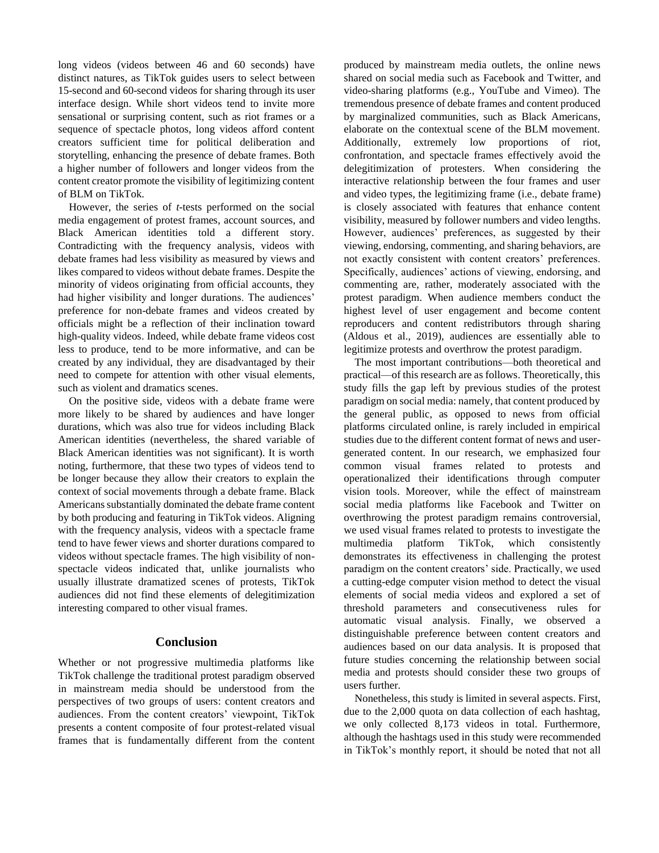long videos (videos between 46 and 60 seconds) have distinct natures, as TikTok guides users to select between 15-second and 60-second videos for sharing through its user interface design. While short videos tend to invite more sensational or surprising content, such as riot frames or a sequence of spectacle photos, long videos afford content creators sufficient time for political deliberation and storytelling, enhancing the presence of debate frames. Both a higher number of followers and longer videos from the content creator promote the visibility of legitimizing content of BLM on TikTok.

However, the series of *t*-tests performed on the social media engagement of protest frames, account sources, and Black American identities told a different story. Contradicting with the frequency analysis, videos with debate frames had less visibility as measured by views and likes compared to videos without debate frames. Despite the minority of videos originating from official accounts, they had higher visibility and longer durations. The audiences' preference for non-debate frames and videos created by officials might be a reflection of their inclination toward high-quality videos. Indeed, while debate frame videos cost less to produce, tend to be more informative, and can be created by any individual, they are disadvantaged by their need to compete for attention with other visual elements, such as violent and dramatics scenes.

On the positive side, videos with a debate frame were more likely to be shared by audiences and have longer durations, which was also true for videos including Black American identities (nevertheless, the shared variable of Black American identities was not significant). It is worth noting, furthermore, that these two types of videos tend to be longer because they allow their creators to explain the context of social movements through a debate frame. Black Americans substantially dominated the debate frame content by both producing and featuring in TikTok videos. Aligning with the frequency analysis, videos with a spectacle frame tend to have fewer views and shorter durations compared to videos without spectacle frames. The high visibility of nonspectacle videos indicated that, unlike journalists who usually illustrate dramatized scenes of protests, TikTok audiences did not find these elements of delegitimization interesting compared to other visual frames.

# **Conclusion**

Whether or not progressive multimedia platforms like TikTok challenge the traditional protest paradigm observed in mainstream media should be understood from the perspectives of two groups of users: content creators and audiences. From the content creators' viewpoint, TikTok presents a content composite of four protest-related visual frames that is fundamentally different from the content produced by mainstream media outlets, the online news shared on social media such as Facebook and Twitter, and video-sharing platforms (e.g., YouTube and Vimeo). The tremendous presence of debate frames and content produced by marginalized communities, such as Black Americans, elaborate on the contextual scene of the BLM movement. Additionally, extremely low proportions of riot, confrontation, and spectacle frames effectively avoid the delegitimization of protesters. When considering the interactive relationship between the four frames and user and video types, the legitimizing frame (i.e., debate frame) is closely associated with features that enhance content visibility, measured by follower numbers and video lengths. However, audiences' preferences, as suggested by their viewing, endorsing, commenting, and sharing behaviors, are not exactly consistent with content creators' preferences. Specifically, audiences' actions of viewing, endorsing, and commenting are, rather, moderately associated with the protest paradigm. When audience members conduct the highest level of user engagement and become content reproducers and content redistributors through sharing (Aldous et al., 2019), audiences are essentially able to legitimize protests and overthrow the protest paradigm.

The most important contributions—both theoretical and practical—of this research are as follows. Theoretically, this study fills the gap left by previous studies of the protest paradigm on social media: namely, that content produced by the general public, as opposed to news from official platforms circulated online, is rarely included in empirical studies due to the different content format of news and usergenerated content. In our research, we emphasized four common visual frames related to protests and operationalized their identifications through computer vision tools. Moreover, while the effect of mainstream social media platforms like Facebook and Twitter on overthrowing the protest paradigm remains controversial, we used visual frames related to protests to investigate the multimedia platform TikTok, which consistently demonstrates its effectiveness in challenging the protest paradigm on the content creators' side. Practically, we used a cutting-edge computer vision method to detect the visual elements of social media videos and explored a set of threshold parameters and consecutiveness rules for automatic visual analysis. Finally, we observed a distinguishable preference between content creators and audiences based on our data analysis. It is proposed that future studies concerning the relationship between social media and protests should consider these two groups of users further.

Nonetheless, this study is limited in several aspects. First, due to the 2,000 quota on data collection of each hashtag, we only collected 8,173 videos in total. Furthermore, although the hashtags used in this study were recommended in TikTok's monthly report, it should be noted that not all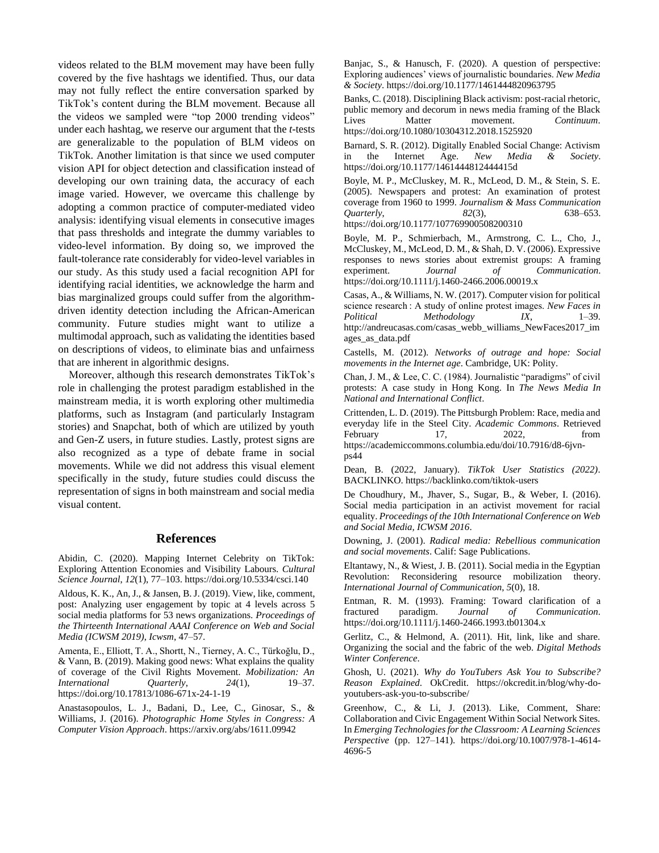videos related to the BLM movement may have been fully covered by the five hashtags we identified. Thus, our data may not fully reflect the entire conversation sparked by TikTok's content during the BLM movement. Because all the videos we sampled were "top 2000 trending videos" under each hashtag, we reserve our argument that the *t*-tests are generalizable to the population of BLM videos on TikTok. Another limitation is that since we used computer vision API for object detection and classification instead of developing our own training data, the accuracy of each image varied. However, we overcame this challenge by adopting a common practice of computer-mediated video analysis: identifying visual elements in consecutive images that pass thresholds and integrate the dummy variables to video-level information. By doing so, we improved the fault-tolerance rate considerably for video-level variables in our study. As this study used a facial recognition API for identifying racial identities, we acknowledge the harm and bias marginalized groups could suffer from the algorithmdriven identity detection including the African-American community. Future studies might want to utilize a multimodal approach, such as validating the identities based on descriptions of videos, to eliminate bias and unfairness that are inherent in algorithmic designs.

Moreover, although this research demonstrates TikTok's role in challenging the protest paradigm established in the mainstream media, it is worth exploring other multimedia platforms, such as Instagram (and particularly Instagram stories) and Snapchat, both of which are utilized by youth and Gen-Z users, in future studies. Lastly, protest signs are also recognized as a type of debate frame in social movements. While we did not address this visual element specifically in the study, future studies could discuss the representation of signs in both mainstream and social media visual content.

# **References**

Abidin, C. (2020). Mapping Internet Celebrity on TikTok: Exploring Attention Economies and Visibility Labours. *Cultural Science Journal*, *12*(1), 77–103. https://doi.org/10.5334/csci.140

Aldous, K. K., An, J., & Jansen, B. J. (2019). View, like, comment, post: Analyzing user engagement by topic at 4 levels across 5 social media platforms for 53 news organizations. *Proceedings of the Thirteenth International AAAI Conference on Web and Social Media (ICWSM 2019)*, *Icwsm*, 47–57.

Amenta, E., Elliott, T. A., Shortt, N., Tierney, A. C., Türkoğlu, D., & Vann, B. (2019). Making good news: What explains the quality of coverage of the Civil Rights Movement. *Mobilization: An International Quarterly*, *24*(1), 19–37. https://doi.org/10.17813/1086-671x-24-1-19

Anastasopoulos, L. J., Badani, D., Lee, C., Ginosar, S., & Williams, J. (2016). *Photographic Home Styles in Congress: A Computer Vision Approach*. https://arxiv.org/abs/1611.09942

Banjac, S., & Hanusch, F. (2020). A question of perspective: Exploring audiences' views of journalistic boundaries. *New Media & Society*. https://doi.org/10.1177/1461444820963795

Banks, C. (2018). Disciplining Black activism: post-racial rhetoric, public memory and decorum in news media framing of the Black Lives Matter movement. *Continuum*. https://doi.org/10.1080/10304312.2018.1525920

Barnard, S. R. (2012). Digitally Enabled Social Change: Activism in the Internet Age. *New Media & Society*. https://doi.org/10.1177/1461444812444415d

Boyle, M. P., McCluskey, M. R., McLeod, D. M., & Stein, S. E. (2005). Newspapers and protest: An examination of protest coverage from 1960 to 1999. *Journalism & Mass Communication Quarterly*, *82*(3), 638–653. https://doi.org/10.1177/107769900508200310

Boyle, M. P., Schmierbach, M., Armstrong, C. L., Cho, J., McCluskey, M., McLeod, D. M., & Shah, D. V. (2006). Expressive responses to news stories about extremist groups: A framing experiment. *Journal of Communication*. https://doi.org/10.1111/j.1460-2466.2006.00019.x

Casas, A., & Williams, N. W. (2017). Computer vision for political science research : A study of online protest images. *New Faces in Political Methodology IX*, 1–39. http://andreucasas.com/casas\_webb\_williams\_NewFaces2017\_im ages\_as\_data.pdf

Castells, M. (2012). *Networks of outrage and hope: Social movements in the Internet age*. Cambridge, UK: Polity.

Chan, J. M., & Lee, C. C. (1984). Journalistic "paradigms" of civil protests: A case study in Hong Kong. In *The News Media In National and International Conflict*.

Crittenden, L. D. (2019). The Pittsburgh Problem: Race, media and everyday life in the Steel City. *Academic Commons*. Retrieved February 17, 2022, from https://academiccommons.columbia.edu/doi/10.7916/d8-6jvnps44

Dean, B. (2022, January). *TikTok User Statistics (2022)*. BACKLINKO. https://backlinko.com/tiktok-users

De Choudhury, M., Jhaver, S., Sugar, B., & Weber, I. (2016). Social media participation in an activist movement for racial equality. *Proceedings of the 10th International Conference on Web and Social Media, ICWSM 2016*.

Downing, J. (2001). *Radical media: Rebellious communication and social movements*. Calif: Sage Publications.

Eltantawy, N., & Wiest, J. B. (2011). Social media in the Egyptian Revolution: Reconsidering resource mobilization theory. *International Journal of Communication*, *5*(0), 18.

Entman, R. M. (1993). Framing: Toward clarification of a fractured paradigm. *Journal of Communication*. https://doi.org/10.1111/j.1460-2466.1993.tb01304.x

Gerlitz, C., & Helmond, A. (2011). Hit, link, like and share. Organizing the social and the fabric of the web. *Digital Methods Winter Conference*.

Ghosh, U. (2021). *Why do YouTubers Ask You to Subscribe? Reason Explained*. OkCredit. https://okcredit.in/blog/why-doyoutubers-ask-you-to-subscribe/

Greenhow, C., & Li, J. (2013). Like, Comment, Share: Collaboration and Civic Engagement Within Social Network Sites. In *Emerging Technologies for the Classroom: A Learning Sciences Perspective* (pp. 127–141). https://doi.org/10.1007/978-1-4614- 4696-5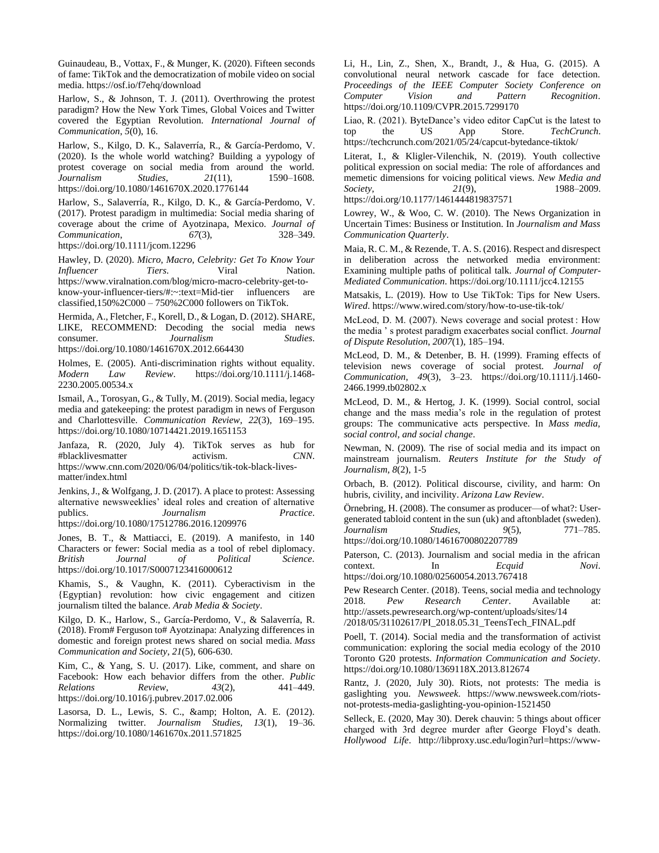Guinaudeau, B., Vottax, F., & Munger, K. (2020). Fifteen seconds of fame: TikTok and the democratization of mobile video on social media. https://osf.io/f7ehq/download

Harlow, S., & Johnson, T. J. (2011). Overthrowing the protest paradigm? How the New York Times, Global Voices and Twitter covered the Egyptian Revolution. *International Journal of Communication*, *5*(0), 16.

Harlow, S., Kilgo, D. K., Salaverría, R., & García-Perdomo, V. (2020). Is the whole world watching? Building a yypology of protest coverage on social media from around the world. *Journalism Studies*, *21*(11), 1590–1608. https://doi.org/10.1080/1461670X.2020.1776144

Harlow, S., Salaverría, R., Kilgo, D. K., & García-Perdomo, V. (2017). Protest paradigm in multimedia: Social media sharing of coverage about the crime of Ayotzinapa, Mexico. *Journal of Communication*, *67*(3), 328–349. https://doi.org/10.1111/jcom.12296

Hawley, D. (2020). *Micro, Macro, Celebrity: Get To Know Your Influencer Tiers*. Viral Nation. https://www.viralnation.com/blog/micro-macro-celebrity-get-toknow-your-influencer-tiers/#:~:text=Mid-tier influencers are classified,150%2C000 – 750%2C000 followers on TikTok.

Hermida, A., Fletcher, F., Korell, D., & Logan, D. (2012). SHARE, LIKE, RECOMMEND: Decoding the social media news consumer. *Journalism Studies*. https://doi.org/10.1080/1461670X.2012.664430

Holmes, E. (2005). Anti-discrimination rights without equality. *Modern Law Review*. https://doi.org/10.1111/j.1468- 2230.2005.00534.x

Ismail, A., Torosyan, G., & Tully, M. (2019). Social media, legacy media and gatekeeping: the protest paradigm in news of Ferguson and Charlottesville. *Communication Review*, *22*(3), 169–195. https://doi.org/10.1080/10714421.2019.1651153

Janfaza, R. (2020, July 4). TikTok serves as hub for #blacklivesmatter activism. *CNN*. https://www.cnn.com/2020/06/04/politics/tik-tok-black-livesmatter/index.html

Jenkins, J., & Wolfgang, J. D. (2017). A place to protest: Assessing alternative newsweeklies' ideal roles and creation of alternative publics. *Journalism Practice*. https://doi.org/10.1080/17512786.2016.1209976

Jones, B. T., & Mattiacci, E. (2019). A manifesto, in 140 Characters or fewer: Social media as a tool of rebel diplomacy. *British Journal of Political Science*. https://doi.org/10.1017/S0007123416000612

Khamis, S., & Vaughn, K. (2011). Cyberactivism in the {Egyptian} revolution: how civic engagement and citizen journalism tilted the balance. *Arab Media & Society*.

Kilgo, D. K., Harlow, S., García-Perdomo, V., & Salaverría, R. (2018). From# Ferguson to# Ayotzinapa: Analyzing differences in domestic and foreign protest news shared on social media. *Mass Communication and Society*, *21*(5), 606-630.

Kim, C., & Yang, S. U. (2017). Like, comment, and share on Facebook: How each behavior differs from the other. *Public Relations Review*, *43*(2), 441–449. https://doi.org/10.1016/j.pubrev.2017.02.006

Lasorsa, D. L., Lewis, S. C., & amp; Holton, A. E. (2012). Normalizing twitter. *Journalism Studies, 13*(1), 19–36. https://doi.org/10.1080/1461670x.2011.571825

Li, H., Lin, Z., Shen, X., Brandt, J., & Hua, G. (2015). A convolutional neural network cascade for face detection. *Proceedings of the IEEE Computer Society Conference on Computer Vision and Pattern Recognition*. https://doi.org/10.1109/CVPR.2015.7299170

Liao, R. (2021). ByteDance's video editor CapCut is the latest to top the US App Store. *TechCrunch*. https://techcrunch.com/2021/05/24/capcut-bytedance-tiktok/

Literat, I., & Kligler-Vilenchik, N. (2019). Youth collective political expression on social media: The role of affordances and memetic dimensions for voicing political views. *New Media and Society*, 21(9), 1988–2009.

https://doi.org/10.1177/1461444819837571

Lowrey, W., & Woo, C. W. (2010). The News Organization in Uncertain Times: Business or Institution. In *Journalism and Mass Communication Quarterly*.

Maia, R. C. M., & Rezende, T. A. S. (2016). Respect and disrespect in deliberation across the networked media environment: Examining multiple paths of political talk. *Journal of Computer-Mediated Communication*. https://doi.org/10.1111/jcc4.12155

Matsakis, L. (2019). How to Use TikTok: Tips for New Users. *Wired*. https://www.wired.com/story/how-to-use-tik-tok/

McLeod, D. M. (2007). News coverage and social protest : How the media ' s protest paradigm exacerbates social conflict. *Journal of Dispute Resolution*, *2007*(1), 185–194.

McLeod, D. M., & Detenber, B. H. (1999). Framing effects of television news coverage of social protest. *Journal of Communication*, *49*(3), 3–23. https://doi.org/10.1111/j.1460- 2466.1999.tb02802.x

McLeod, D. M., & Hertog, J. K. (1999). Social control, social change and the mass media's role in the regulation of protest groups: The communicative acts perspective. In *Mass media, social control, and social change*.

Newman, N. (2009). The rise of social media and its impact on mainstream journalism. *Reuters Institute for the Study of Journalism, 8*(2), 1-5

Orbach, B. (2012). Political discourse, civility, and harm: On hubris, civility, and incivility. *Arizona Law Review*.

Örnebring, H. (2008). The consumer as producer—of what?: Usergenerated tabloid content in the sun (uk) and aftonbladet (sweden). *Journalism Studies*, *9*(5), 771–785. https://doi.org/10.1080/14616700802207789

Paterson, C. (2013). Journalism and social media in the african context. In *Ecquid Novi*.

https://doi.org/10.1080/02560054.2013.767418

Pew Research Center. (2018). Teens, social media and technology 2018. *Pew Research Center*. Available at: http://assets.pewresearch.org/wp-content/uploads/sites/14 /2018/05/31102617/PI\_2018.05.31\_TeensTech\_FINAL.pdf

Poell, T. (2014). Social media and the transformation of activist communication: exploring the social media ecology of the 2010 Toronto G20 protests. *Information Communication and Society*.

https://doi.org/10.1080/1369118X.2013.812674 Rantz, J. (2020, July 30). Riots, not protests: The media is gaslighting you. *Newsweek*. https://www.newsweek.com/riotsnot-protests-media-gaslighting-you-opinion-1521450

Selleck, E. (2020, May 30). Derek chauvin: 5 things about officer charged with 3rd degree murder after George Floyd's death. *Hollywood Life*. http://libproxy.usc.edu/login?url=https://www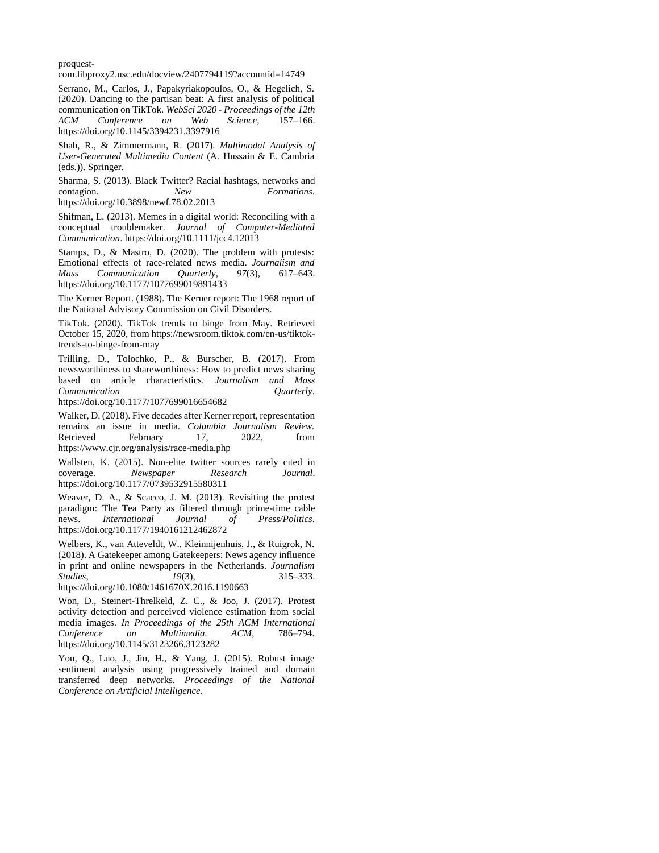proquest-

com.libproxy2.usc.edu/docview/2407794119?accountid=14749

Serrano, M., Carlos, J., Papakyriakopoulos, O., & Hegelich, S. (2020). Dancing to the partisan beat: A first analysis of political communication on TikTok. *WebSci 2020 - Proceedings of the 12th ACM Conference on Web Science*, 157–166. https://doi.org/10.1145/3394231.3397916

Shah, R., & Zimmermann, R. (2017). *Multimodal Analysis of User-Generated Multimedia Content* (A. Hussain & E. Cambria (eds.)). Springer.

Sharma, S. (2013). Black Twitter? Racial hashtags, networks and contagion. *New Formations*. https://doi.org/10.3898/newf.78.02.2013

Shifman, L. (2013). Memes in a digital world: Reconciling with a conceptual troublemaker. *Journal of Computer-Mediated Communication*. https://doi.org/10.1111/jcc4.12013

Stamps, D., & Mastro, D. (2020). The problem with protests: Emotional effects of race-related news media. *Journalism and Mass Communication Quarterly*, *97*(3), 617–643. https://doi.org/10.1177/1077699019891433

The Kerner Report. (1988). The Kerner report: The 1968 report of the National Advisory Commission on Civil Disorders.

TikTok. (2020). TikTok trends to binge from May. Retrieved October 15, 2020, from https://newsroom.tiktok.com/en-us/tiktoktrends-to-binge-from-may

Trilling, D., Tolochko, P., & Burscher, B. (2017). From newsworthiness to shareworthiness: How to predict news sharing based on article characteristics. *Journalism and Mass Communication Quarterly*.

https://doi.org/10.1177/1077699016654682

Walker, D. (2018). Five decades after Kerner report, representation remains an issue in media. *Columbia Journalism Review.*  Retrieved February 17, 2022, from https://www.cjr.org/analysis/race-media.php

Wallsten, K. (2015). Non-elite twitter sources rarely cited in coverage. *Newspaper Research Journal*. https://doi.org/10.1177/0739532915580311

Weaver, D. A., & Scacco, J. M. (2013). Revisiting the protest paradigm: The Tea Party as filtered through prime-time cable news. *International Journal of Press/Politics*. https://doi.org/10.1177/1940161212462872

Welbers, K., van Atteveldt, W., Kleinnijenhuis, J., & Ruigrok, N. (2018). A Gatekeeper among Gatekeepers: News agency influence in print and online newspapers in the Netherlands. *Journalism Studies*, *19*(3), 315–333. https://doi.org/10.1080/1461670X.2016.1190663

Won, D., Steinert-Threlkeld, Z. C., & Joo, J. (2017). Protest activity detection and perceived violence estimation from social media images. *In Proceedings of the 25th ACM International Conference on Multimedia. ACM*, 786–794. https://doi.org/10.1145/3123266.3123282

You, Q., Luo, J., Jin, H., & Yang, J. (2015). Robust image sentiment analysis using progressively trained and domain transferred deep networks. *Proceedings of the National Conference on Artificial Intelligence*.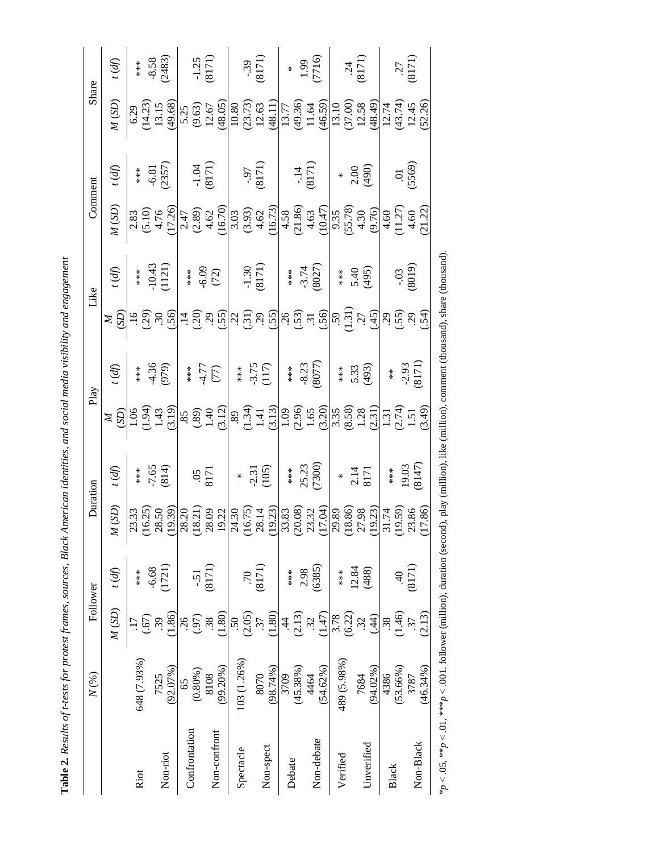Table 2. Results of t-tests for protest frames, sources, Black American identities, and social media visibility and engagement **Table 2.** *Results of t-tests for protest frames, sources, Black American identities, and social media visibility and engagement*

| Share    | (fp)                       | $**\atop{*}{*}\atop{*}$ | $-8.58$<br>(2483)    | $-1.25$<br>(8171)            |                      |                            | (8171)              |                      | $^{*}$<br>(7716)<br>(7716)                                                                                                                                                                                                                                                                                                                                                                                                                                                                    |                   | $\frac{24}{(8171)}$    |                       | (8171)            |
|----------|----------------------------|-------------------------|----------------------|------------------------------|----------------------|----------------------------|---------------------|----------------------|-----------------------------------------------------------------------------------------------------------------------------------------------------------------------------------------------------------------------------------------------------------------------------------------------------------------------------------------------------------------------------------------------------------------------------------------------------------------------------------------------|-------------------|------------------------|-----------------------|-------------------|
|          | M(SD)                      |                         |                      |                              |                      |                            |                     |                      |                                                                                                                                                                                                                                                                                                                                                                                                                                                                                               |                   |                        |                       |                   |
| Comment  | (f)                        | $**\ast\ast\ast$        | $-6.81$<br>(2357)    | $-1.04$<br>(8171)            |                      |                            | $(1218)$<br>(8171)  |                      | $-14$<br>(8171)                                                                                                                                                                                                                                                                                                                                                                                                                                                                               |                   | $*$ 8.00<br>2.00       |                       | (5569)            |
|          | M(SD)                      |                         |                      |                              |                      |                            |                     |                      | $\begin{array}{l} 1.83 \\ (5.10) \\ (1.20) \\ (1.21) \\ (1.21) \\ (1.22) \\ (1.23) \\ (1.24) \\ (1.25) \\ (1.26) \\ (1.27) \\ (1.28) \\ (1.29) \\ (1.20) \\ (1.21) \\ (1.21) \\ (1.22) \\ (1.23) \\ (1.24) \\ (1.25) \\ (1.27) \\ (1.28) \\ (1.29) \\ (1.21) \\ (1.21) \\ (1.22) \\ (1.23) \\ (1.24) \\ (1.25) \\ (1.27) \\ (1.2$                                                                                                                                                             |                   |                        |                       |                   |
| Like     | $\hat{f}(\hat{p})$         | $**\underset{*}{*}$     | $-10.43$<br>(1121)   | $+ * *$<br>$-6.09$<br>$(72)$ |                      |                            | $-1.30$<br>(8171)   |                      | $+$ ***<br>3.74<br>(8027)                                                                                                                                                                                                                                                                                                                                                                                                                                                                     |                   | $* *$<br>5.40<br>(495) |                       | $-0.03$<br>(8019) |
|          |                            |                         |                      |                              |                      |                            |                     |                      | $\approx$ 5 $\approx$ 6 $\approx$ 6 $\approx$ 6 $\approx$ 6 $\approx$ 6 $\approx$ 6 $\approx$ 6 $\approx$ 6 $\approx$ 6 $\approx$ 6 $\approx$ 6 $\approx$ 6 $\approx$ 6 $\approx$                                                                                                                                                                                                                                                                                                             |                   |                        |                       |                   |
| Play     | $\hat{\mathcal{P}}$        | $**\ *\*\*\*$           | $4.36$<br>(979)      | $(1)$<br>$(1)$<br>$(2)$      |                      | $**\atop{*}{*}\atop{*}{*}$ | $-3.75$<br>(117)    |                      | ***<br>8.23<br>8077)                                                                                                                                                                                                                                                                                                                                                                                                                                                                          | $*$<br>$*$<br>$*$ | 5.33<br>(493)          | $*$                   | $-2.93$<br>(8171) |
|          |                            |                         |                      |                              |                      |                            |                     |                      | $\geq \frac{69}{29}$                                                                                                                                                                                                                                                                                                                                                                                                                                                                          |                   |                        |                       |                   |
| Duration | (f)                        | $**\ *\ *\$             | $-7.65$<br>(814)     | $rac{12}{9}$                 |                      | $\ast$                     | $-2.31$<br>(105)    | $**\underset{**}{*}$ | 25.23<br>(7300)                                                                                                                                                                                                                                                                                                                                                                                                                                                                               | $\ast$            | $2.14$<br>8171         | $***$                 | $19.03$<br>(8147) |
|          | (SD)<br>$\mathbb{Z}$       |                         |                      |                              |                      |                            |                     |                      | $\begin{array}{l} \mathcal{A}^{1}_{1} \subset \mathcal{A}^{2}_{2} \subset \mathcal{A}^{3}_{3} \subset \mathcal{A}^{3}_{4} \subset \mathcal{A}^{3}_{5} \subset \mathcal{A}^{3}_{5} \subset \mathcal{A}^{3}_{6} \subset \mathcal{A}^{3}_{7} \subset \mathcal{A}^{3}_{7} \subset \mathcal{A}^{3}_{7} \subset \mathcal{A}^{3}_{7} \subset \mathcal{A}^{3}_{7} \subset \mathcal{A}^{3}_{7} \subset \mathcal{A}^{3}_{7} \subset \mathcal{A}^{3}_{7} \subset \mathcal{A}^{3}_{7} \subset \mathcal{A$ |                   |                        |                       |                   |
|          | $f(\phi)$                  | $***$                   | (1721)<br>$-6.68$    | $-5.1$                       | (8171)               | .70                        | (8171)              | $***$                | (6385)<br>2.98                                                                                                                                                                                                                                                                                                                                                                                                                                                                                | $***$             | 12.84<br>(488)         | ਤ੍ਰ                   | (8171)            |
| Follower | $M\left( \text{SD}\right)$ |                         | 1.86)<br>(.67)<br>39 | (97)<br>26                   | 1.80)<br>$\ddot{38}$ | (2.05)<br>50               | (1.80)<br>37        | (2.13)<br>4          | (1.47)<br>$\ddot{32}$                                                                                                                                                                                                                                                                                                                                                                                                                                                                         | (6.22)<br>3.78    | (44)<br>32.            | (1.46)<br>$\ddot{38}$ | (2.13)<br>37      |
| N(%)     |                            | 648 (7.93%)             | (92.07%)<br>7525     | (0.80%<br>65                 | (99.20%)<br>8108     | 103 (1.26%)                | $(98.74\%)$<br>8070 | $(45.38\%)$<br>3709  | $(54.62\%)$<br>4464                                                                                                                                                                                                                                                                                                                                                                                                                                                                           | 489 (5.98%)       | $(94.02\%)$<br>7684    | (53.66%)<br>4386      | (46.34%)<br>3787  |
|          |                            | Riot                    | Non-riot             | Confrontation                | Non-confront         | Spectacle                  | Non-spect           | Debate               | Non-debate                                                                                                                                                                                                                                                                                                                                                                                                                                                                                    | Verified          | Unverified             | Black                 | Non-Black         |

\**p* < .05, \*\**p* < .01, \*\*\**p* < .001. follower (million), duration (second), play (million), like (million), comment (thousand), share (thousand).